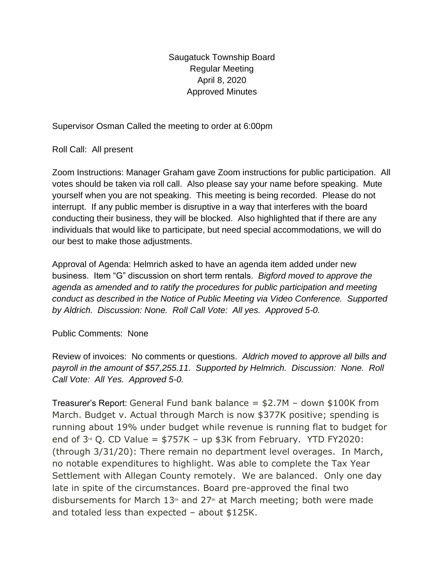Saugatuck Township Board Regular Meeting April 8, 2020 Approved Minutes

Supervisor Osman Called the meeting to order at 6:00pm

Roll Call: All present

Zoom Instructions: Manager Graham gave Zoom instructions for public participation. All votes should be taken via roll call. Also please say your name before speaking. Mute yourself when you are not speaking. This meeting is being recorded. Please do not interrupt. If any public member is disruptive in a way that interferes with the board conducting their business, they will be blocked. Also highlighted that if there are any individuals that would like to participate, but need special accommodations, we will do our best to make those adjustments.

Approval of Agenda: Helmrich asked to have an agenda item added under new business. Item "G" discussion on short term rentals. *Bigford moved to approve the agenda as amended and to ratify the procedures for public participation and meeting conduct as described in the Notice of Public Meeting via Video Conference. Supported by Aldrich. Discussion: None. Roll Call Vote: All yes. Approved 5-0.*

Public Comments: None

Review of invoices: No comments or questions. *Aldrich moved to approve all bills and payroll in the amount of \$57,255.11. Supported by Helmrich. Discussion: None. Roll Call Vote: All Yes. Approved 5-0.*

Treasurer's Report: General Fund bank balance  $= $2.7M -$  down \$100K from March. Budget v. Actual through March is now \$377K positive; spending is running about 19% under budget while revenue is running flat to budget for end of  $3<sup>rd</sup>$  Q. CD Value =  $$757K - up $3K$  from February. YTD FY2020: (through 3/31/20): There remain no department level overages. In March, no notable expenditures to highlight. Was able to complete the Tax Year Settlement with Allegan County remotely. We are balanced. Only one day late in spite of the circumstances. Board pre-approved the final two disbursements for March  $13<sup>th</sup>$  and  $27<sup>th</sup>$  at March meeting; both were made and totaled less than expected – about \$125K.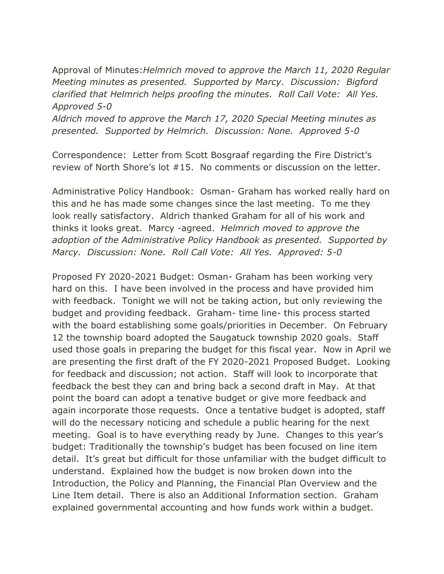Approval of Minutes:*Helmrich moved to approve the March 11, 2020 Regular Meeting minutes as presented. Supported by Marcy. Discussion: Bigford clarified that Helmrich helps proofing the minutes. Roll Call Vote: All Yes. Approved 5-0 Aldrich moved to approve the March 17, 2020 Special Meeting minutes as* 

*presented. Supported by Helmrich. Discussion: None. Approved 5-0*

Correspondence: Letter from Scott Bosgraaf regarding the Fire District's review of North Shore's lot #15. No comments or discussion on the letter.

Administrative Policy Handbook: Osman- Graham has worked really hard on this and he has made some changes since the last meeting. To me they look really satisfactory. Aldrich thanked Graham for all of his work and thinks it looks great. Marcy -agreed. *Helmrich moved to approve the adoption of the Administrative Policy Handbook as presented. Supported by Marcy. Discussion: None. Roll Call Vote: All Yes. Approved: 5-0* 

Proposed FY 2020-2021 Budget: Osman- Graham has been working very hard on this. I have been involved in the process and have provided him with feedback. Tonight we will not be taking action, but only reviewing the budget and providing feedback. Graham- time line- this process started with the board establishing some goals/priorities in December. On February 12 the township board adopted the Saugatuck township 2020 goals. Staff used those goals in preparing the budget for this fiscal year. Now in April we are presenting the first draft of the FY 2020-2021 Proposed Budget. Looking for feedback and discussion; not action. Staff will look to incorporate that feedback the best they can and bring back a second draft in May. At that point the board can adopt a tenative budget or give more feedback and again incorporate those requests. Once a tentative budget is adopted, staff will do the necessary noticing and schedule a public hearing for the next meeting. Goal is to have everything ready by June. Changes to this year's budget: Traditionally the township's budget has been focused on line item detail. It's great but difficult for those unfamiliar with the budget difficult to understand. Explained how the budget is now broken down into the Introduction, the Policy and Planning, the Financial Plan Overview and the Line Item detail. There is also an Additional Information section. Graham explained governmental accounting and how funds work within a budget.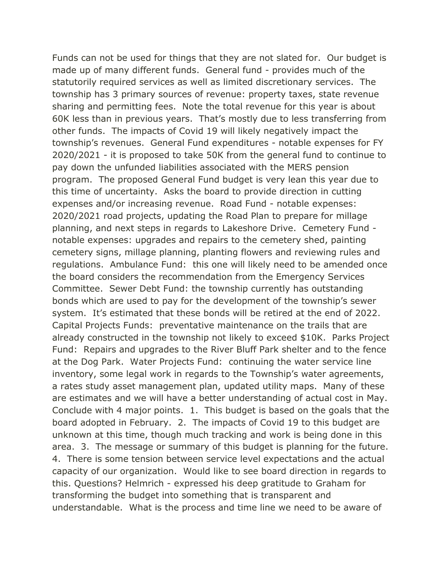Funds can not be used for things that they are not slated for. Our budget is made up of many different funds. General fund - provides much of the statutorily required services as well as limited discretionary services. The township has 3 primary sources of revenue: property taxes, state revenue sharing and permitting fees. Note the total revenue for this year is about 60K less than in previous years. That's mostly due to less transferring from other funds. The impacts of Covid 19 will likely negatively impact the township's revenues. General Fund expenditures - notable expenses for FY 2020/2021 - it is proposed to take 50K from the general fund to continue to pay down the unfunded liabilities associated with the MERS pension program. The proposed General Fund budget is very lean this year due to this time of uncertainty. Asks the board to provide direction in cutting expenses and/or increasing revenue. Road Fund - notable expenses: 2020/2021 road projects, updating the Road Plan to prepare for millage planning, and next steps in regards to Lakeshore Drive. Cemetery Fund notable expenses: upgrades and repairs to the cemetery shed, painting cemetery signs, millage planning, planting flowers and reviewing rules and regulations. Ambulance Fund: this one will likely need to be amended once the board considers the recommendation from the Emergency Services Committee. Sewer Debt Fund: the township currently has outstanding bonds which are used to pay for the development of the township's sewer system. It's estimated that these bonds will be retired at the end of 2022. Capital Projects Funds: preventative maintenance on the trails that are already constructed in the township not likely to exceed \$10K. Parks Project Fund: Repairs and upgrades to the River Bluff Park shelter and to the fence at the Dog Park. Water Projects Fund: continuing the water service line inventory, some legal work in regards to the Township's water agreements, a rates study asset management plan, updated utility maps. Many of these are estimates and we will have a better understanding of actual cost in May. Conclude with 4 major points. 1. This budget is based on the goals that the board adopted in February. 2. The impacts of Covid 19 to this budget are unknown at this time, though much tracking and work is being done in this area. 3. The message or summary of this budget is planning for the future. 4. There is some tension between service level expectations and the actual capacity of our organization. Would like to see board direction in regards to this. Questions? Helmrich - expressed his deep gratitude to Graham for transforming the budget into something that is transparent and understandable. What is the process and time line we need to be aware of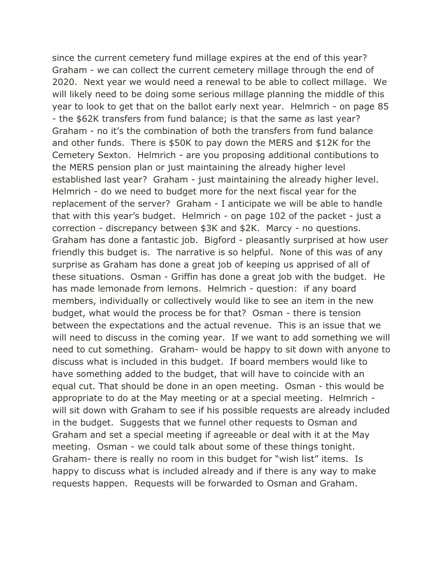since the current cemetery fund millage expires at the end of this year? Graham - we can collect the current cemetery millage through the end of 2020. Next year we would need a renewal to be able to collect millage. We will likely need to be doing some serious millage planning the middle of this year to look to get that on the ballot early next year. Helmrich - on page 85 - the \$62K transfers from fund balance; is that the same as last year? Graham - no it's the combination of both the transfers from fund balance and other funds. There is \$50K to pay down the MERS and \$12K for the Cemetery Sexton. Helmrich - are you proposing additional contibutions to the MERS pension plan or just maintaining the already higher level established last year? Graham - just maintaining the already higher level. Helmrich - do we need to budget more for the next fiscal year for the replacement of the server? Graham - I anticipate we will be able to handle that with this year's budget. Helmrich - on page 102 of the packet - just a correction - discrepancy between \$3K and \$2K. Marcy - no questions. Graham has done a fantastic job. Bigford - pleasantly surprised at how user friendly this budget is. The narrative is so helpful. None of this was of any surprise as Graham has done a great job of keeping us apprised of all of these situations. Osman - Griffin has done a great job with the budget. He has made lemonade from lemons. Helmrich - question: if any board members, individually or collectively would like to see an item in the new budget, what would the process be for that? Osman - there is tension between the expectations and the actual revenue. This is an issue that we will need to discuss in the coming year. If we want to add something we will need to cut something. Graham- would be happy to sit down with anyone to discuss what is included in this budget. If board members would like to have something added to the budget, that will have to coincide with an equal cut. That should be done in an open meeting. Osman - this would be appropriate to do at the May meeting or at a special meeting. Helmrich will sit down with Graham to see if his possible requests are already included in the budget. Suggests that we funnel other requests to Osman and Graham and set a special meeting if agreeable or deal with it at the May meeting. Osman - we could talk about some of these things tonight. Graham- there is really no room in this budget for "wish list" items. Is happy to discuss what is included already and if there is any way to make requests happen. Requests will be forwarded to Osman and Graham.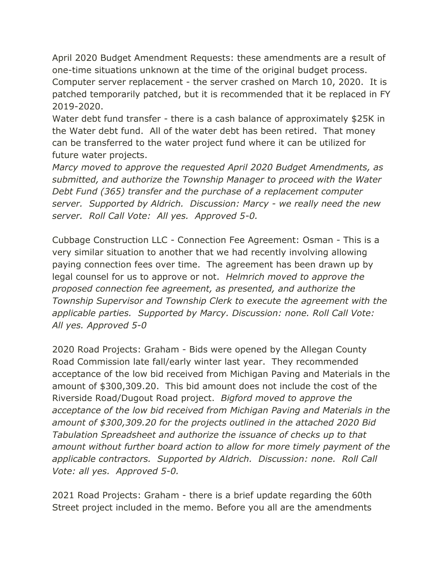April 2020 Budget Amendment Requests: these amendments are a result of one-time situations unknown at the time of the original budget process. Computer server replacement - the server crashed on March 10, 2020. It is patched temporarily patched, but it is recommended that it be replaced in FY 2019-2020.

Water debt fund transfer - there is a cash balance of approximately \$25K in the Water debt fund. All of the water debt has been retired. That money can be transferred to the water project fund where it can be utilized for future water projects.

*Marcy moved to approve the requested April 2020 Budget Amendments, as submitted, and authorize the Township Manager to proceed with the Water Debt Fund (365) transfer and the purchase of a replacement computer server. Supported by Aldrich. Discussion: Marcy - we really need the new server. Roll Call Vote: All yes. Approved 5-0.*

Cubbage Construction LLC - Connection Fee Agreement: Osman - This is a very similar situation to another that we had recently involving allowing paying connection fees over time. The agreement has been drawn up by legal counsel for us to approve or not. *Helmrich moved to approve the proposed connection fee agreement, as presented, and authorize the Township Supervisor and Township Clerk to execute the agreement with the applicable parties. Supported by Marcy. Discussion: none. Roll Call Vote: All yes. Approved 5-0*

2020 Road Projects: Graham - Bids were opened by the Allegan County Road Commission late fall/early winter last year. They recommended acceptance of the low bid received from Michigan Paving and Materials in the amount of \$300,309.20. This bid amount does not include the cost of the Riverside Road/Dugout Road project. *Bigford moved to approve the acceptance of the low bid received from Michigan Paving and Materials in the amount of \$300,309.20 for the projects outlined in the attached 2020 Bid Tabulation Spreadsheet and authorize the issuance of checks up to that amount without further board action to allow for more timely payment of the applicable contractors. Supported by Aldrich. Discussion: none. Roll Call Vote: all yes. Approved 5-0.*

2021 Road Projects: Graham - there is a brief update regarding the 60th Street project included in the memo. Before you all are the amendments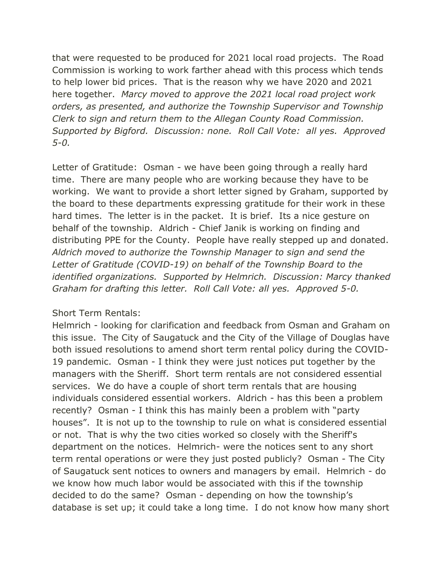that were requested to be produced for 2021 local road projects. The Road Commission is working to work farther ahead with this process which tends to help lower bid prices. That is the reason why we have 2020 and 2021 here together. *Marcy moved to approve the 2021 local road project work orders, as presented, and authorize the Township Supervisor and Township Clerk to sign and return them to the Allegan County Road Commission. Supported by Bigford. Discussion: none. Roll Call Vote: all yes. Approved 5-0.* 

Letter of Gratitude: Osman - we have been going through a really hard time. There are many people who are working because they have to be working. We want to provide a short letter signed by Graham, supported by the board to these departments expressing gratitude for their work in these hard times. The letter is in the packet. It is brief. Its a nice gesture on behalf of the township. Aldrich - Chief Janik is working on finding and distributing PPE for the County. People have really stepped up and donated. *Aldrich moved to authorize the Township Manager to sign and send the Letter of Gratitude (COVID-19) on behalf of the Township Board to the identified organizations. Supported by Helmrich. Discussion: Marcy thanked Graham for drafting this letter. Roll Call Vote: all yes. Approved 5-0.* 

## Short Term Rentals:

Helmrich - looking for clarification and feedback from Osman and Graham on this issue. The City of Saugatuck and the City of the Village of Douglas have both issued resolutions to amend short term rental policy during the COVID-19 pandemic. Osman - I think they were just notices put together by the managers with the Sheriff. Short term rentals are not considered essential services. We do have a couple of short term rentals that are housing individuals considered essential workers. Aldrich - has this been a problem recently? Osman - I think this has mainly been a problem with "party houses". It is not up to the township to rule on what is considered essential or not. That is why the two cities worked so closely with the Sheriff's department on the notices. Helmrich- were the notices sent to any short term rental operations or were they just posted publicly? Osman - The City of Saugatuck sent notices to owners and managers by email. Helmrich - do we know how much labor would be associated with this if the township decided to do the same? Osman - depending on how the township's database is set up; it could take a long time. I do not know how many short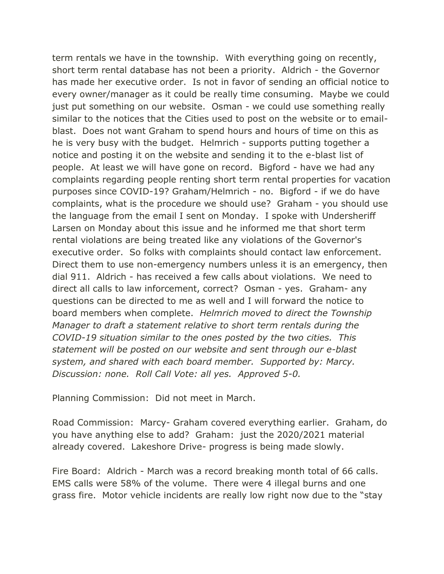term rentals we have in the township. With everything going on recently, short term rental database has not been a priority. Aldrich - the Governor has made her executive order. Is not in favor of sending an official notice to every owner/manager as it could be really time consuming. Maybe we could just put something on our website. Osman - we could use something really similar to the notices that the Cities used to post on the website or to emailblast. Does not want Graham to spend hours and hours of time on this as he is very busy with the budget. Helmrich - supports putting together a notice and posting it on the website and sending it to the e-blast list of people. At least we will have gone on record. Bigford - have we had any complaints regarding people renting short term rental properties for vacation purposes since COVID-19? Graham/Helmrich - no. Bigford - if we do have complaints, what is the procedure we should use? Graham - you should use the language from the email I sent on Monday. I spoke with Undersheriff Larsen on Monday about this issue and he informed me that short term rental violations are being treated like any violations of the Governor's executive order. So folks with complaints should contact law enforcement. Direct them to use non-emergency numbers unless it is an emergency, then dial 911. Aldrich - has received a few calls about violations. We need to direct all calls to law inforcement, correct? Osman - yes. Graham- any questions can be directed to me as well and I will forward the notice to board members when complete. *Helmrich moved to direct the Township Manager to draft a statement relative to short term rentals during the COVID-19 situation similar to the ones posted by the two cities. This statement will be posted on our website and sent through our e-blast system, and shared with each board member. Supported by: Marcy. Discussion: none. Roll Call Vote: all yes. Approved 5-0.*

Planning Commission: Did not meet in March.

Road Commission: Marcy- Graham covered everything earlier. Graham, do you have anything else to add? Graham: just the 2020/2021 material already covered. Lakeshore Drive- progress is being made slowly.

Fire Board: Aldrich - March was a record breaking month total of 66 calls. EMS calls were 58% of the volume. There were 4 illegal burns and one grass fire. Motor vehicle incidents are really low right now due to the "stay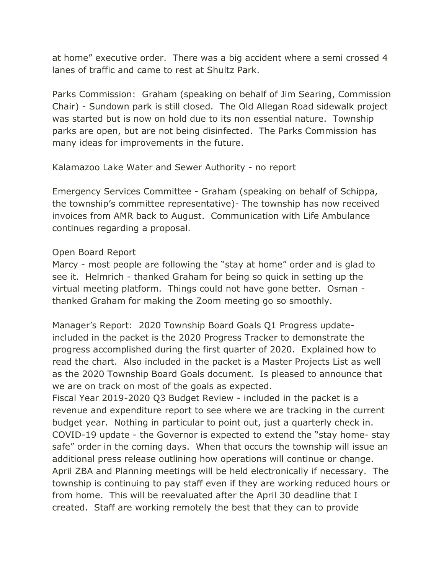at home" executive order. There was a big accident where a semi crossed 4 lanes of traffic and came to rest at Shultz Park.

Parks Commission: Graham (speaking on behalf of Jim Searing, Commission Chair) - Sundown park is still closed. The Old Allegan Road sidewalk project was started but is now on hold due to its non essential nature. Township parks are open, but are not being disinfected. The Parks Commission has many ideas for improvements in the future.

Kalamazoo Lake Water and Sewer Authority - no report

Emergency Services Committee - Graham (speaking on behalf of Schippa, the township's committee representative)- The township has now received invoices from AMR back to August. Communication with Life Ambulance continues regarding a proposal.

## Open Board Report

Marcy - most people are following the "stay at home" order and is glad to see it. Helmrich - thanked Graham for being so quick in setting up the virtual meeting platform. Things could not have gone better. Osman thanked Graham for making the Zoom meeting go so smoothly.

Manager's Report: 2020 Township Board Goals Q1 Progress updateincluded in the packet is the 2020 Progress Tracker to demonstrate the progress accomplished during the first quarter of 2020. Explained how to read the chart. Also included in the packet is a Master Projects List as well as the 2020 Township Board Goals document. Is pleased to announce that we are on track on most of the goals as expected.

Fiscal Year 2019-2020 Q3 Budget Review - included in the packet is a revenue and expenditure report to see where we are tracking in the current budget year. Nothing in particular to point out, just a quarterly check in. COVID-19 update - the Governor is expected to extend the "stay home- stay safe" order in the coming days. When that occurs the township will issue an additional press release outlining how operations will continue or change. April ZBA and Planning meetings will be held electronically if necessary. The township is continuing to pay staff even if they are working reduced hours or from home. This will be reevaluated after the April 30 deadline that I created. Staff are working remotely the best that they can to provide